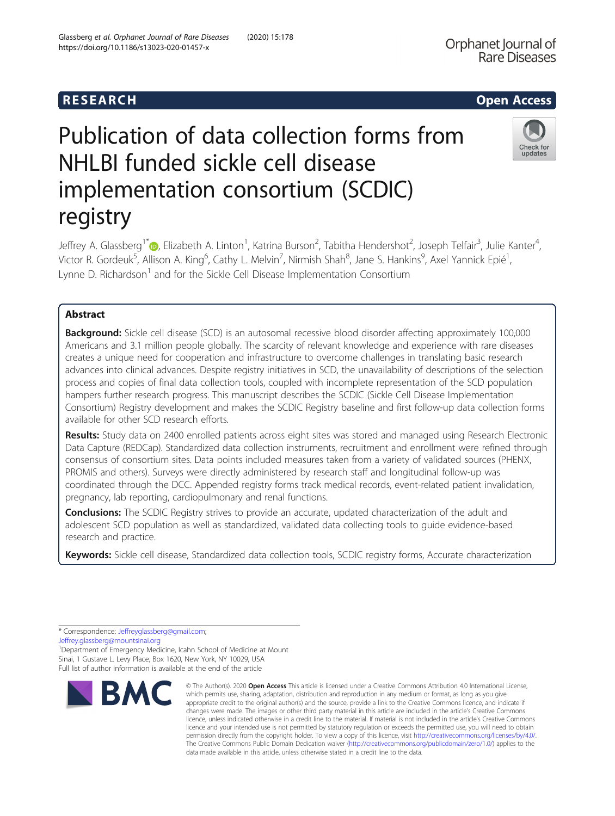# R E S EAR CH Open Access

# Publication of data collection forms from NHLBI funded sickle cell disease implementation consortium (SCDIC) registry



Jeffrey A. Glassberg<sup>1\*</sup>®, Elizabeth A. Linton<sup>1</sup>, Katrina Burson<sup>2</sup>, Tabitha Hendershot<sup>2</sup>, Joseph Telfair<sup>3</sup>, Julie Kanter<sup>4</sup> , Victor R. Gordeuk<sup>5</sup>, Allison A. King<sup>6</sup>, Cathy L. Melvin<sup>7</sup>, Nirmish Shah<sup>8</sup>, Jane S. Hankins<sup>9</sup>, Axel Yannick Epié<sup>1</sup> , Lynne D. Richardson<sup>1</sup> and for the Sickle Cell Disease Implementation Consortium

# Abstract

**Background:** Sickle cell disease (SCD) is an autosomal recessive blood disorder affecting approximately 100,000 Americans and 3.1 million people globally. The scarcity of relevant knowledge and experience with rare diseases creates a unique need for cooperation and infrastructure to overcome challenges in translating basic research advances into clinical advances. Despite registry initiatives in SCD, the unavailability of descriptions of the selection process and copies of final data collection tools, coupled with incomplete representation of the SCD population hampers further research progress. This manuscript describes the SCDIC (Sickle Cell Disease Implementation Consortium) Registry development and makes the SCDIC Registry baseline and first follow-up data collection forms available for other SCD research efforts.

Results: Study data on 2400 enrolled patients across eight sites was stored and managed using Research Electronic Data Capture (REDCap). Standardized data collection instruments, recruitment and enrollment were refined through consensus of consortium sites. Data points included measures taken from a variety of validated sources (PHENX, PROMIS and others). Surveys were directly administered by research staff and longitudinal follow-up was coordinated through the DCC. Appended registry forms track medical records, event-related patient invalidation, pregnancy, lab reporting, cardiopulmonary and renal functions.

**Conclusions:** The SCDIC Registry strives to provide an accurate, updated characterization of the adult and adolescent SCD population as well as standardized, validated data collecting tools to guide evidence-based research and practice.

Keywords: Sickle cell disease, Standardized data collection tools, SCDIC registry forms, Accurate characterization

[Jeffrey.glassberg@mountsinai.org](mailto:Jeffrey.glassberg@mountsinai.org)

<sup>1</sup>Department of Emergency Medicine, Icahn School of Medicine at Mount Sinai, 1 Gustave L. Levy Place, Box 1620, New York, NY 10029, USA Full list of author information is available at the end of the article



<sup>©</sup> The Author(s), 2020 **Open Access** This article is licensed under a Creative Commons Attribution 4.0 International License, which permits use, sharing, adaptation, distribution and reproduction in any medium or format, as long as you give appropriate credit to the original author(s) and the source, provide a link to the Creative Commons licence, and indicate if changes were made. The images or other third party material in this article are included in the article's Creative Commons licence, unless indicated otherwise in a credit line to the material. If material is not included in the article's Creative Commons licence and your intended use is not permitted by statutory regulation or exceeds the permitted use, you will need to obtain permission directly from the copyright holder. To view a copy of this licence, visit [http://creativecommons.org/licenses/by/4.0/.](http://creativecommons.org/licenses/by/4.0/) The Creative Commons Public Domain Dedication waiver [\(http://creativecommons.org/publicdomain/zero/1.0/](http://creativecommons.org/publicdomain/zero/1.0/)) applies to the data made available in this article, unless otherwise stated in a credit line to the data.

<sup>\*</sup> Correspondence: [Jeffreyglassberg@gmail.com;](mailto:Jeffreyglassberg@gmail.com)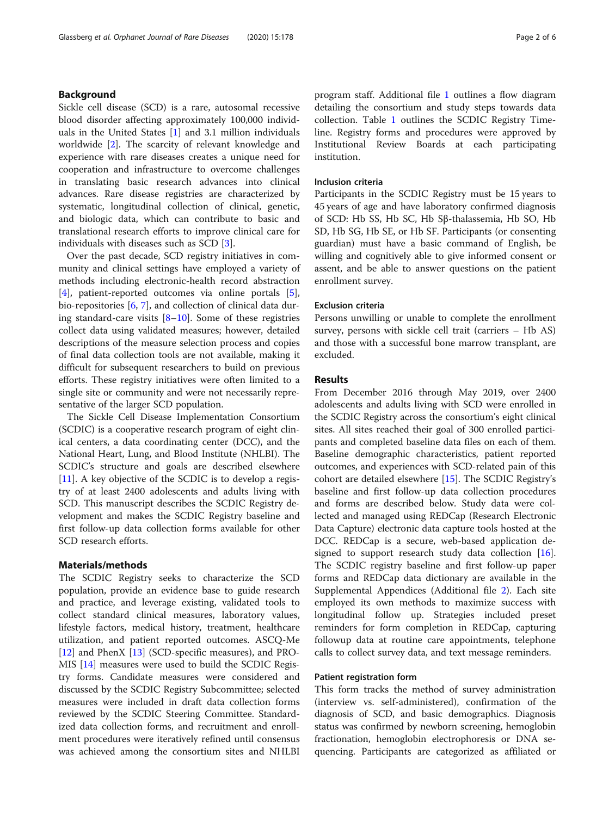# Background

Sickle cell disease (SCD) is a rare, autosomal recessive blood disorder affecting approximately 100,000 individuals in the United States [\[1](#page-4-0)] and 3.1 million individuals worldwide [[2\]](#page-4-0). The scarcity of relevant knowledge and experience with rare diseases creates a unique need for cooperation and infrastructure to overcome challenges in translating basic research advances into clinical advances. Rare disease registries are characterized by systematic, longitudinal collection of clinical, genetic, and biologic data, which can contribute to basic and translational research efforts to improve clinical care for individuals with diseases such as SCD [[3\]](#page-4-0).

Over the past decade, SCD registry initiatives in community and clinical settings have employed a variety of methods including electronic-health record abstraction [[4\]](#page-4-0), patient-reported outcomes via online portals [\[5](#page-4-0)], bio-repositories [[6](#page-4-0), [7](#page-4-0)], and collection of clinical data during standard-care visits  $[8-10]$  $[8-10]$  $[8-10]$  $[8-10]$ . Some of these registries collect data using validated measures; however, detailed descriptions of the measure selection process and copies of final data collection tools are not available, making it difficult for subsequent researchers to build on previous efforts. These registry initiatives were often limited to a single site or community and were not necessarily representative of the larger SCD population.

The Sickle Cell Disease Implementation Consortium (SCDIC) is a cooperative research program of eight clinical centers, a data coordinating center (DCC), and the National Heart, Lung, and Blood Institute (NHLBI). The SCDIC's structure and goals are described elsewhere [[11\]](#page-4-0). A key objective of the SCDIC is to develop a registry of at least 2400 adolescents and adults living with SCD. This manuscript describes the SCDIC Registry development and makes the SCDIC Registry baseline and first follow-up data collection forms available for other SCD research efforts.

# Materials/methods

The SCDIC Registry seeks to characterize the SCD population, provide an evidence base to guide research and practice, and leverage existing, validated tools to collect standard clinical measures, laboratory values, lifestyle factors, medical history, treatment, healthcare utilization, and patient reported outcomes. ASCQ-Me [[12\]](#page-4-0) and PhenX [[13\]](#page-5-0) (SCD-specific measures), and PRO-MIS [\[14](#page-5-0)] measures were used to build the SCDIC Registry forms. Candidate measures were considered and discussed by the SCDIC Registry Subcommittee; selected measures were included in draft data collection forms reviewed by the SCDIC Steering Committee. Standardized data collection forms, and recruitment and enrollment procedures were iteratively refined until consensus was achieved among the consortium sites and NHLBI program staff. Additional file [1](#page-4-0) outlines a flow diagram detailing the consortium and study steps towards data collection. Table [1](#page-2-0) outlines the SCDIC Registry Timeline. Registry forms and procedures were approved by Institutional Review Boards at each participating institution.

# Inclusion criteria

Participants in the SCDIC Registry must be 15 years to 45 years of age and have laboratory confirmed diagnosis of SCD: Hb SS, Hb SC, Hb Sβ-thalassemia, Hb SO, Hb SD, Hb SG, Hb SE, or Hb SF. Participants (or consenting guardian) must have a basic command of English, be willing and cognitively able to give informed consent or assent, and be able to answer questions on the patient enrollment survey.

# Exclusion criteria

Persons unwilling or unable to complete the enrollment survey, persons with sickle cell trait (carriers – Hb AS) and those with a successful bone marrow transplant, are excluded.

# Results

From December 2016 through May 2019, over 2400 adolescents and adults living with SCD were enrolled in the SCDIC Registry across the consortium's eight clinical sites. All sites reached their goal of 300 enrolled participants and completed baseline data files on each of them. Baseline demographic characteristics, patient reported outcomes, and experiences with SCD-related pain of this cohort are detailed elsewhere [[15\]](#page-5-0). The SCDIC Registry's baseline and first follow-up data collection procedures and forms are described below. Study data were collected and managed using REDCap (Research Electronic Data Capture) electronic data capture tools hosted at the DCC. REDCap is a secure, web-based application de-signed to support research study data collection [\[16](#page-5-0)]. The SCDIC registry baseline and first follow-up paper forms and REDCap data dictionary are available in the Supplemental Appendices (Additional file [2](#page-4-0)). Each site employed its own methods to maximize success with longitudinal follow up. Strategies included preset reminders for form completion in REDCap, capturing followup data at routine care appointments, telephone calls to collect survey data, and text message reminders.

# Patient registration form

This form tracks the method of survey administration (interview vs. self-administered), confirmation of the diagnosis of SCD, and basic demographics. Diagnosis status was confirmed by newborn screening, hemoglobin fractionation, hemoglobin electrophoresis or DNA sequencing. Participants are categorized as affiliated or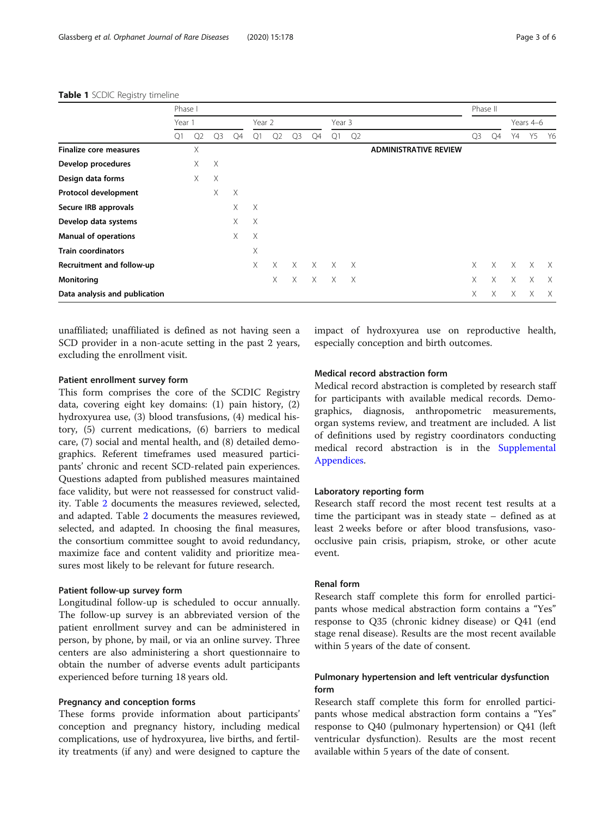|                               | Phase I |                |                |          |          |          |                |          |          |          | Phase II                     |                |          |          |          |          |
|-------------------------------|---------|----------------|----------------|----------|----------|----------|----------------|----------|----------|----------|------------------------------|----------------|----------|----------|----------|----------|
|                               | Year 1  |                |                | Year 2   |          |          | Year 3         |          |          |          |                              | Years 4-6      |          |          |          |          |
|                               | Q1      | Q <sub>2</sub> | Q <sub>3</sub> | Q4       | Q1       | Q2       | Q <sub>3</sub> | Q4       | Q1       | Q2       |                              | Q <sub>3</sub> | Q4       | Y4       | Y5       | - Y6     |
| <b>Finalize core measures</b> |         | Χ              |                |          |          |          |                |          |          |          | <b>ADMINISTRATIVE REVIEW</b> |                |          |          |          |          |
| Develop procedures            |         | X              | $\times$       |          |          |          |                |          |          |          |                              |                |          |          |          |          |
| Design data forms             |         | X              | $\times$       |          |          |          |                |          |          |          |                              |                |          |          |          |          |
| Protocol development          |         |                | X              | $\times$ |          |          |                |          |          |          |                              |                |          |          |          |          |
| Secure IRB approvals          |         |                |                | Χ        | $\times$ |          |                |          |          |          |                              |                |          |          |          |          |
| Develop data systems          |         |                |                | X        | $\times$ |          |                |          |          |          |                              |                |          |          |          |          |
| <b>Manual of operations</b>   |         |                |                | X        | $\times$ |          |                |          |          |          |                              |                |          |          |          |          |
| <b>Train coordinators</b>     |         |                |                |          | X        |          |                |          |          |          |                              |                |          |          |          |          |
| Recruitment and follow-up     |         |                |                |          | X        | $\times$ | $\times$       | $\times$ | $\times$ | $\times$ |                              | $\times$       | $\times$ | $\times$ | $\times$ | $\times$ |
| Monitoring                    |         |                |                |          |          | X        | X              | $\times$ | $\times$ | $\times$ |                              | X              | X        | X        | X        | X        |
| Data analysis and publication |         |                |                |          |          |          |                |          |          |          |                              | X              | X        | X        | X        | X        |

#### <span id="page-2-0"></span>Table 1 SCDIC Registry timeline

unaffiliated; unaffiliated is defined as not having seen a SCD provider in a non-acute setting in the past 2 years, excluding the enrollment visit.

#### Patient enrollment survey form

This form comprises the core of the SCDIC Registry data, covering eight key domains: (1) pain history, (2) hydroxyurea use, (3) blood transfusions, (4) medical history, (5) current medications, (6) barriers to medical care, (7) social and mental health, and (8) detailed demographics. Referent timeframes used measured participants' chronic and recent SCD-related pain experiences. Questions adapted from published measures maintained face validity, but were not reassessed for construct validity. Table [2](#page-3-0) documents the measures reviewed, selected, and adapted. Table [2](#page-3-0) documents the measures reviewed, selected, and adapted. In choosing the final measures, the consortium committee sought to avoid redundancy, maximize face and content validity and prioritize measures most likely to be relevant for future research.

# Patient follow-up survey form

Longitudinal follow-up is scheduled to occur annually. The follow-up survey is an abbreviated version of the patient enrollment survey and can be administered in person, by phone, by mail, or via an online survey. Three centers are also administering a short questionnaire to obtain the number of adverse events adult participants experienced before turning 18 years old.

# Pregnancy and conception forms

These forms provide information about participants' conception and pregnancy history, including medical complications, use of hydroxyurea, live births, and fertility treatments (if any) and were designed to capture the impact of hydroxyurea use on reproductive health, especially conception and birth outcomes.

# Medical record abstraction form

Medical record abstraction is completed by research staff for participants with available medical records. Demographics, diagnosis, anthropometric measurements, organ systems review, and treatment are included. A list of definitions used by registry coordinators conducting medical record abstraction is in the [Supplemental](#page-4-0) [Appendices](#page-4-0).

# Laboratory reporting form

Research staff record the most recent test results at a time the participant was in steady state – defined as at least 2 weeks before or after blood transfusions, vasoocclusive pain crisis, priapism, stroke, or other acute event.

# Renal form

Research staff complete this form for enrolled participants whose medical abstraction form contains a "Yes" response to Q35 (chronic kidney disease) or Q41 (end stage renal disease). Results are the most recent available within 5 years of the date of consent.

# Pulmonary hypertension and left ventricular dysfunction form

Research staff complete this form for enrolled participants whose medical abstraction form contains a "Yes" response to Q40 (pulmonary hypertension) or Q41 (left ventricular dysfunction). Results are the most recent available within 5 years of the date of consent.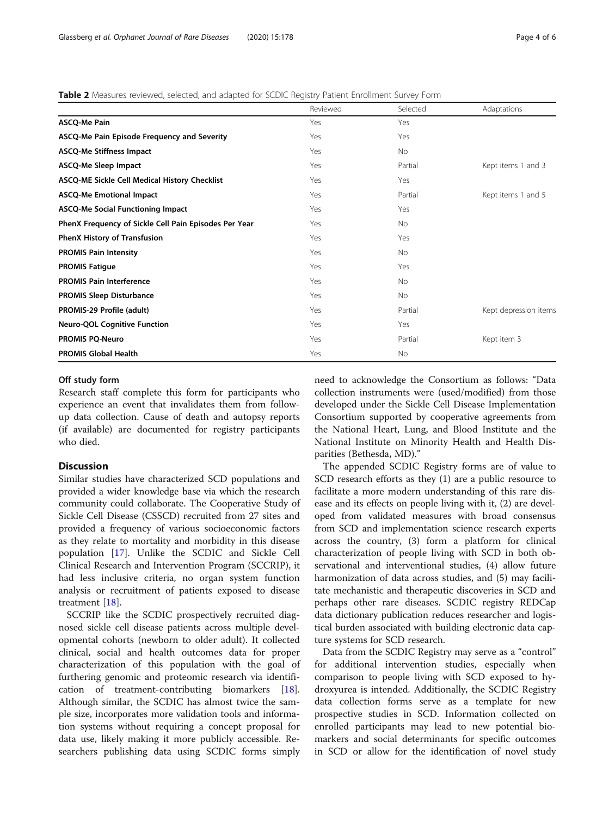<span id="page-3-0"></span>Table 2 Measures reviewed, selected, and adapted for SCDIC Registry Patient Enrollment Survey Form

|                                                       | Reviewed | Selected  | Adaptations           |
|-------------------------------------------------------|----------|-----------|-----------------------|
| ASCQ-Me Pain                                          | Yes      | Yes       |                       |
| ASCQ-Me Pain Episode Frequency and Severity           | Yes      | Yes       |                       |
| <b>ASCQ-Me Stiffness Impact</b>                       | Yes      | <b>No</b> |                       |
| ASCQ-Me Sleep Impact                                  | Yes      | Partial   | Kept items 1 and 3    |
| ASCQ-ME Sickle Cell Medical History Checklist         | Yes      | Yes       |                       |
| <b>ASCQ-Me Emotional Impact</b>                       | Yes      | Partial   | Kept items 1 and 5    |
| <b>ASCQ-Me Social Functioning Impact</b>              | Yes      | Yes       |                       |
| PhenX Frequency of Sickle Cell Pain Episodes Per Year | Yes      | <b>No</b> |                       |
| <b>PhenX History of Transfusion</b>                   | Yes      | Yes       |                       |
| <b>PROMIS Pain Intensity</b>                          | Yes      | No        |                       |
| <b>PROMIS Fatigue</b>                                 | Yes      | Yes       |                       |
| <b>PROMIS Pain Interference</b>                       | Yes      | <b>No</b> |                       |
| <b>PROMIS Sleep Disturbance</b>                       | Yes      | No        |                       |
| PROMIS-29 Profile (adult)                             | Yes      | Partial   | Kept depression items |
| <b>Neuro-QOL Cognitive Function</b>                   | Yes      | Yes       |                       |
| <b>PROMIS PQ-Neuro</b>                                | Yes      | Partial   | Kept item 3           |
| <b>PROMIS Global Health</b>                           | Yes      | No        |                       |

# Off study form

Research staff complete this form for participants who experience an event that invalidates them from followup data collection. Cause of death and autopsy reports (if available) are documented for registry participants who died.

# Discussion

Similar studies have characterized SCD populations and provided a wider knowledge base via which the research community could collaborate. The Cooperative Study of Sickle Cell Disease (CSSCD) recruited from 27 sites and provided a frequency of various socioeconomic factors as they relate to mortality and morbidity in this disease population [[17\]](#page-5-0). Unlike the SCDIC and Sickle Cell Clinical Research and Intervention Program (SCCRIP), it had less inclusive criteria, no organ system function analysis or recruitment of patients exposed to disease treatment [[18\]](#page-5-0).

SCCRIP like the SCDIC prospectively recruited diagnosed sickle cell disease patients across multiple developmental cohorts (newborn to older adult). It collected clinical, social and health outcomes data for proper characterization of this population with the goal of furthering genomic and proteomic research via identification of treatment-contributing biomarkers [\[18](#page-5-0)]. Although similar, the SCDIC has almost twice the sample size, incorporates more validation tools and information systems without requiring a concept proposal for data use, likely making it more publicly accessible. Researchers publishing data using SCDIC forms simply

need to acknowledge the Consortium as follows: "Data collection instruments were (used/modified) from those developed under the Sickle Cell Disease Implementation Consortium supported by cooperative agreements from the National Heart, Lung, and Blood Institute and the National Institute on Minority Health and Health Disparities (Bethesda, MD)."

The appended SCDIC Registry forms are of value to SCD research efforts as they (1) are a public resource to facilitate a more modern understanding of this rare disease and its effects on people living with it, (2) are developed from validated measures with broad consensus from SCD and implementation science research experts across the country, (3) form a platform for clinical characterization of people living with SCD in both observational and interventional studies, (4) allow future harmonization of data across studies, and (5) may facilitate mechanistic and therapeutic discoveries in SCD and perhaps other rare diseases. SCDIC registry REDCap data dictionary publication reduces researcher and logistical burden associated with building electronic data capture systems for SCD research.

Data from the SCDIC Registry may serve as a "control" for additional intervention studies, especially when comparison to people living with SCD exposed to hydroxyurea is intended. Additionally, the SCDIC Registry data collection forms serve as a template for new prospective studies in SCD. Information collected on enrolled participants may lead to new potential biomarkers and social determinants for specific outcomes in SCD or allow for the identification of novel study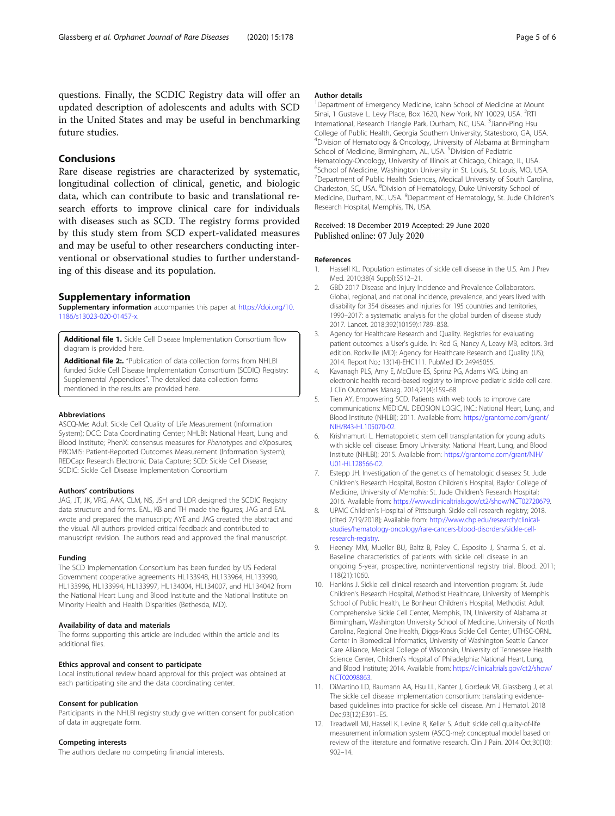<span id="page-4-0"></span>questions. Finally, the SCDIC Registry data will offer an updated description of adolescents and adults with SCD in the United States and may be useful in benchmarking future studies.

# Conclusions

Rare disease registries are characterized by systematic, longitudinal collection of clinical, genetic, and biologic data, which can contribute to basic and translational research efforts to improve clinical care for individuals with diseases such as SCD. The registry forms provided by this study stem from SCD expert-validated measures and may be useful to other researchers conducting interventional or observational studies to further understanding of this disease and its population.

# Supplementary information

Supplementary information accompanies this paper at [https://doi.org/10.](https://doi.org/10.1186/s13023-020-01457-x) [1186/s13023-020-01457-x.](https://doi.org/10.1186/s13023-020-01457-x)

Additional file 1. Sickle Cell Disease Implementation Consortium flow diagram is provided here.

Additional file 2:. "Publication of data collection forms from NHLBI funded Sickle Cell Disease Implementation Consortium (SCDIC) Registry: Supplemental Appendices". The detailed data collection forms mentioned in the results are provided here.

#### Abbreviations

ASCQ-Me: Adult Sickle Cell Quality of Life Measurement (Information System); DCC: Data Coordinating Center; NHLBI: National Heart, Lung and Blood Institute; PhenX: consensus measures for Phenotypes and eXposures; PROMIS: Patient-Reported Outcomes Measurement (Information System); REDCap: Research Electronic Data Capture; SCD: Sickle Cell Disease; SCDIC: Sickle Cell Disease Implementation Consortium

#### Authors' contributions

JAG, JT, JK, VRG, AAK, CLM, NS, JSH and LDR designed the SCDIC Registry data structure and forms. EAL, KB and TH made the figures; JAG and EAL wrote and prepared the manuscript; AYE and JAG created the abstract and the visual. All authors provided critical feedback and contributed to manuscript revision. The authors read and approved the final manuscript.

#### Funding

The SCD Implementation Consortium has been funded by US Federal Government cooperative agreements HL133948, HL133964, HL133990, HL133996, HL133994, HL133997, HL134004, HL134007, and HL134042 from the National Heart Lung and Blood Institute and the National Institute on Minority Health and Health Disparities (Bethesda, MD).

#### Availability of data and materials

The forms supporting this article are included within the article and its additional files.

#### Ethics approval and consent to participate

Local institutional review board approval for this project was obtained at each participating site and the data coordinating center.

#### Consent for publication

Participants in the NHLBI registry study give written consent for publication of data in aggregate form.

# Competing interests

The authors declare no competing financial interests.

#### Author details

<sup>1</sup>Department of Emergency Medicine, Icahn School of Medicine at Mount Sinai, 1 Gustave L. Levy Place, Box 1620, New York, NY 10029, USA. <sup>2</sup>RTI International, Research Triangle Park, Durham, NC, USA. <sup>3</sup> Jiann-Ping Hsu College of Public Health, Georgia Southern University, Statesboro, GA, USA. 4 Division of Hematology & Oncology, University of Alabama at Birmingham School of Medicine, Birmingham, AL, USA. <sup>5</sup>Division of Pediatric Hematology-Oncology, University of Illinois at Chicago, Chicago, IL, USA. 6 School of Medicine, Washington University in St. Louis, St. Louis, MO, USA. <sup>7</sup> Department of Public Health Sciences, Medical University of South Carolina, Charleston, SC, USA. <sup>8</sup>Division of Hematology, Duke University School of Medicine, Durham, NC, USA. <sup>9</sup>Department of Hematology, St. Jude Children's Research Hospital, Memphis, TN, USA.

# Received: 18 December 2019 Accepted: 29 June 2020 Published online: 07 July 2020

#### References

- 1. Hassell KL. Population estimates of sickle cell disease in the U.S. Am J Prev Med. 2010;38(4 Suppl):S512–21.
- 2. GBD 2017 Disease and Injury Incidence and Prevalence Collaborators. Global, regional, and national incidence, prevalence, and years lived with disability for 354 diseases and injuries for 195 countries and territories, 1990–2017: a systematic analysis for the global burden of disease study 2017. Lancet. 2018;392(10159):1789–858.
- 3. Agency for Healthcare Research and Quality. Registries for evaluating patient outcomes: a User's guide. In: Red G, Nancy A, Leavy MB, editors. 3rd edition. Rockville (MD): Agency for Healthcare Research and Quality (US); 2014. Report No.: 13(14)-EHC111. PubMed ID: 24945055.
- 4. Kavanagh PLS, Amy E, McClure ES, Sprinz PG, Adams WG. Using an electronic health record-based registry to improve pediatric sickle cell care. J Clin Outcomes Manag. 2014;21(4):159–68.
- 5. Tien AY, Empowering SCD. Patients with web tools to improve care communications: MEDICAL DECISION LOGIC, INC.: National Heart, Lung, and Blood Institute (NHLBI); 2011. Available from: [https://grantome.com/grant/](https://grantome.com/grant/NIH/R43-HL105070-02) [NIH/R43-HL105070-02](https://grantome.com/grant/NIH/R43-HL105070-02).
- 6. Krishnamurti L. Hematopoietic stem cell transplantation for young adults with sickle cell disease: Emory University: National Heart, Lung, and Blood Institute (NHLBI); 2015. Available from: [https://grantome.com/grant/NIH/](https://www.grantome.com/grant/NIH/U01-HL128566-02) [U01-HL128566-02](https://www.grantome.com/grant/NIH/U01-HL128566-02).
- 7. Estepp JH. Investigation of the genetics of hematologic diseases: St. Jude Children's Research Hospital, Boston Children's Hospital, Baylor College of Medicine, University of Memphis: St. Jude Children's Research Hospital; 2016. Available from: [https://www.clinicaltrials.gov/ct2/show/NCT02720679.](https://www.clinicaltrials.gov/ct2/show/NCT02720679)
- 8. UPMC Children's Hospital of Pittsburgh. Sickle cell research registry; 2018. [cited 7/19/2018]; Available from: [http://www.chp.edu/research/clinical](http://www.chp.edu/research/clinical-studies/hematology-oncology/rare-cancers-blood-disorders/sickle-cell-research-registry)[studies/hematology-oncology/rare-cancers-blood-disorders/sickle-cell](http://www.chp.edu/research/clinical-studies/hematology-oncology/rare-cancers-blood-disorders/sickle-cell-research-registry)[research-registry](http://www.chp.edu/research/clinical-studies/hematology-oncology/rare-cancers-blood-disorders/sickle-cell-research-registry).
- 9. Heeney MM, Mueller BU, Baltz B, Paley C, Esposito J, Sharma S, et al. Baseline characteristics of patients with sickle cell disease in an ongoing 5-year, prospective, noninterventional registry trial. Blood. 2011; 118(21):1060.
- 10. Hankins J. Sickle cell clinical research and intervention program: St. Jude Children's Research Hospital, Methodist Healthcare, University of Memphis School of Public Health, Le Bonheur Children's Hospital, Methodist Adult Comprehensive Sickle Cell Center, Memphis, TN, University of Alabama at Birmingham, Washington University School of Medicine, University of North Carolina, Regional One Health, Diggs-Kraus Sickle Cell Center, UTHSC-ORNL Center in Biomedical Informatics, University of Washington Seattle Cancer Care Alliance, Medical College of Wisconsin, University of Tennessee Health Science Center, Children's Hospital of Philadelphia: National Heart, Lung, and Blood Institute; 2014. Available from: [https://clinicaltrials.gov/ct2/show/](https://www.clinicaltrials.gov/ct2/show/NCT02098863) [NCT02098863.](https://www.clinicaltrials.gov/ct2/show/NCT02098863)
- 11. DiMartino LD, Baumann AA, Hsu LL, Kanter J, Gordeuk VR, Glassberg J, et al. The sickle cell disease implementation consortium: translating evidencebased guidelines into practice for sickle cell disease. Am J Hematol. 2018 Dec;93(12):E391–E5.
- 12. Treadwell MJ, Hassell K, Levine R, Keller S. Adult sickle cell quality-of-life measurement information system (ASCQ-me): conceptual model based on review of the literature and formative research. Clin J Pain. 2014 Oct;30(10): 902–14.